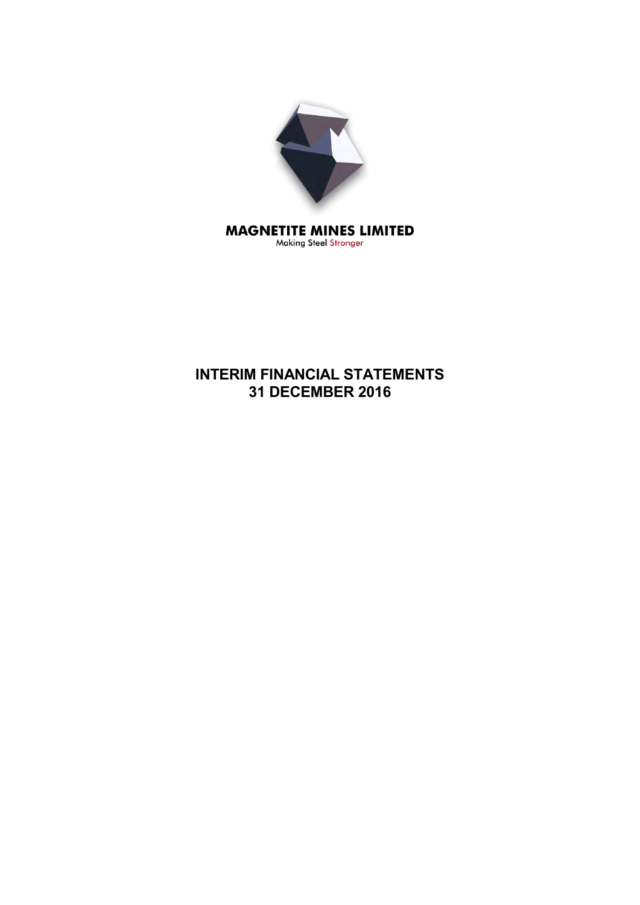

Making Steel Stronger

# **INTERIM FINANCIAL STATEMENTS 31 DECEMBER 2016**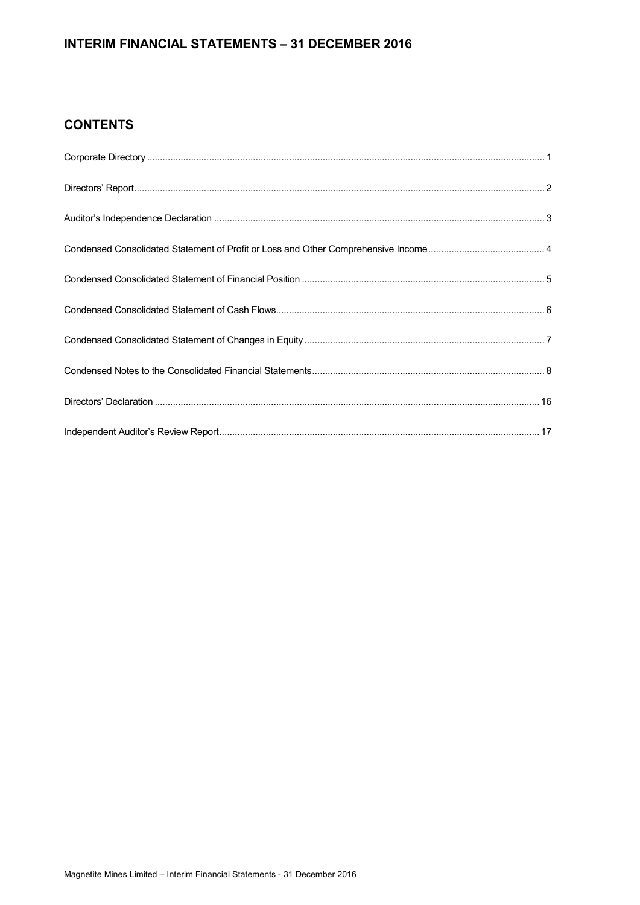## **INTERIM FINANCIAL STATEMENTS – 31 DECEMBER 2016**

## **CONTENTS**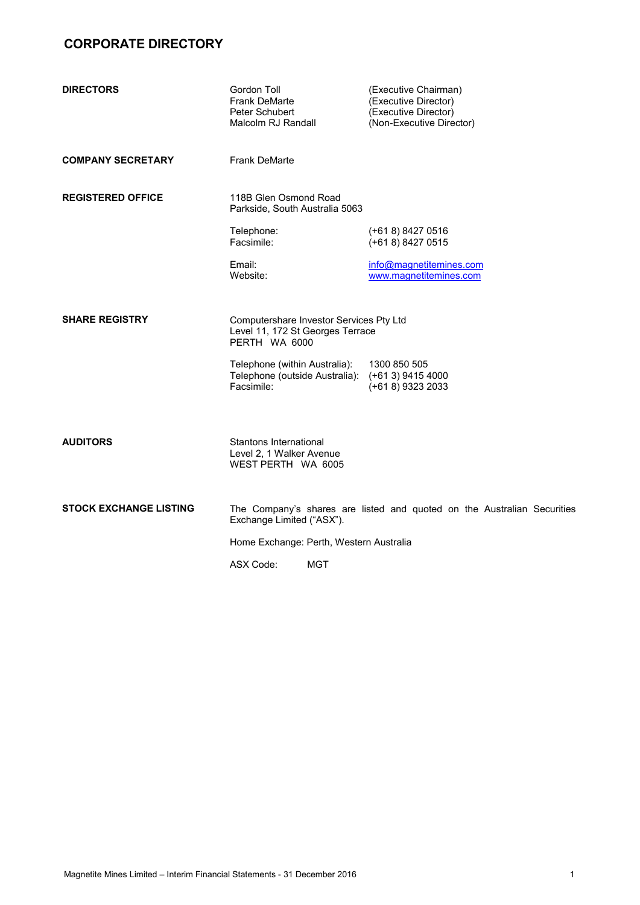# **CORPORATE DIRECTORY**

| <b>DIRECTORS</b>              | Gordon Toll<br><b>Frank DeMarte</b><br>Peter Schubert<br>Malcolm RJ Randall                  | (Executive Chairman)<br>(Executive Director)<br>(Executive Director)<br>(Non-Executive Director) |
|-------------------------------|----------------------------------------------------------------------------------------------|--------------------------------------------------------------------------------------------------|
| <b>COMPANY SECRETARY</b>      | <b>Frank DeMarte</b>                                                                         |                                                                                                  |
| <b>REGISTERED OFFICE</b>      | 118B Glen Osmond Road<br>Parkside, South Australia 5063                                      |                                                                                                  |
|                               | Telephone:<br>Facsimile:                                                                     | $(+618)84270516$<br>(+61 8) 8427 0515                                                            |
|                               | Email:<br>Website:                                                                           | info@magnetitemines.com<br>www.magnetitemines.com                                                |
| <b>SHARE REGISTRY</b>         | Computershare Investor Services Pty Ltd<br>Level 11, 172 St Georges Terrace<br>PERTH WA 6000 |                                                                                                  |
|                               | Telephone (within Australia):<br>Telephone (outside Australia):<br>Facsimile:                | 1300 850 505<br>$(+613)$ 9415 4000<br>$(+618)$ 9323 2033                                         |
| <b>AUDITORS</b>               | Stantons International<br>Level 2, 1 Walker Avenue<br>WEST PERTH WA 6005                     |                                                                                                  |
| <b>STOCK EXCHANGE LISTING</b> | Exchange Limited ("ASX").                                                                    | The Company's shares are listed and quoted on the Australian Securities                          |
|                               | Home Exchange: Perth, Western Australia                                                      |                                                                                                  |

ASX Code: MGT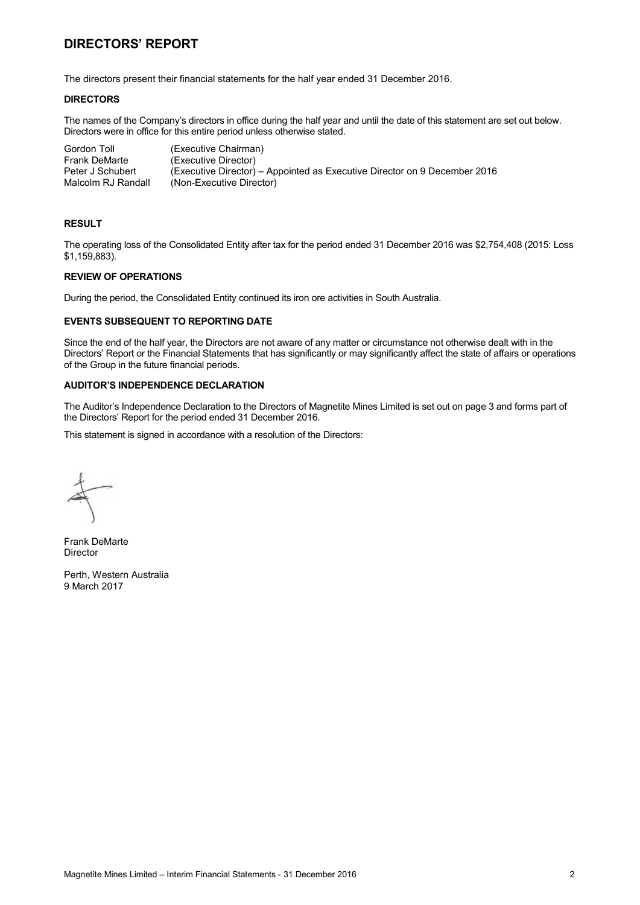## **DIRECTORS' REPORT**

The directors present their financial statements for the half year ended 31 December 2016.

### **DIRECTORS**

The names of the Company's directors in office during the half year and until the date of this statement are set out below. Directors were in office for this entire period unless otherwise stated.

| Gordon Toll        | (Executive Chairman)                                                      |
|--------------------|---------------------------------------------------------------------------|
| Frank DeMarte      | (Executive Director)                                                      |
| Peter J Schubert   | (Executive Director) – Appointed as Executive Director on 9 December 2016 |
| Malcolm RJ Randall | (Non-Executive Director)                                                  |

#### **RESULT**

The operating loss of the Consolidated Entity after tax for the period ended 31 December 2016 was \$2,754,408 (2015: Loss \$1,159,883).

### **REVIEW OF OPERATIONS**

During the period, the Consolidated Entity continued its iron ore activities in South Australia.

#### **EVENTS SUBSEQUENT TO REPORTING DATE**

Since the end of the half year, the Directors are not aware of any matter or circumstance not otherwise dealt with in the Directors' Report or the Financial Statements that has significantly or may significantly affect the state of affairs or operations of the Group in the future financial periods.

## **AUDITOR'S INDEPENDENCE DECLARATION**

The Auditor's Independence Declaration to the Directors of Magnetite Mines Limited is set out on page 3 and forms part of the Directors' Report for the period ended 31 December 2016.

This statement is signed in accordance with a resolution of the Directors:

Frank DeMarte Director

Perth, Western Australia 9 March 2017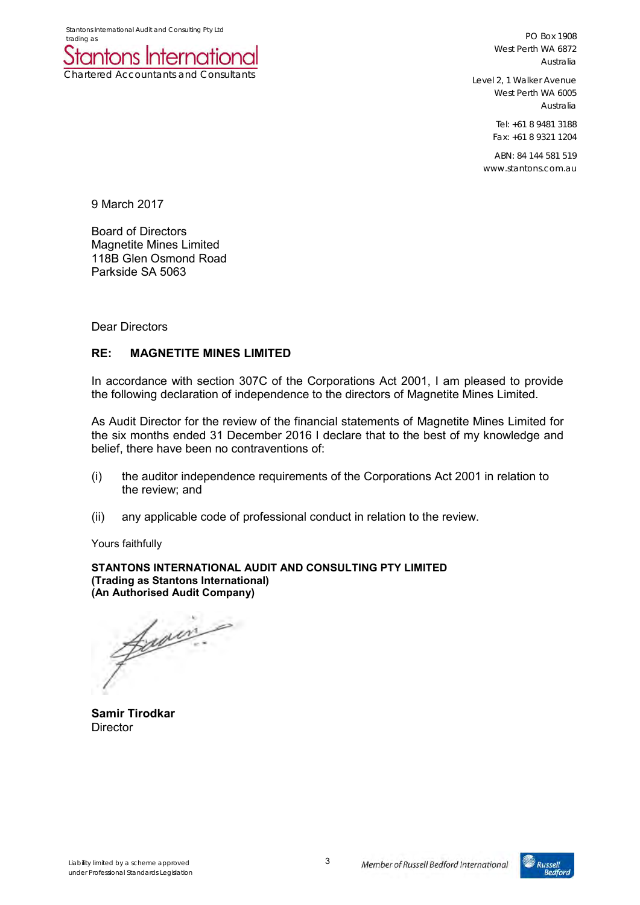Chartered Accountants and Consultants

PO Box 1908 West Perth WA 6872 Australia

Level 2, 1 Walker Avenue West Perth WA 6005 Australia

> Tel: +61 8 9481 3188 Fax: +61 8 9321 1204

ABN: 84 144 581 519 www.stantons.com.au

9 March 2017

Board of Directors Magnetite Mines Limited 118B Glen Osmond Road Parkside SA 5063

Dear Directors

## **RE: MAGNETITE MINES LIMITED**

In accordance with section 307C of the Corporations Act 2001, I am pleased to provide the following declaration of independence to the directors of Magnetite Mines Limited.

As Audit Director for the review of the financial statements of Magnetite Mines Limited for the six months ended 31 December 2016 I declare that to the best of my knowledge and belief, there have been no contraventions of:

- (i) the auditor independence requirements of the Corporations Act 2001 in relation to the review; and
- (ii) any applicable code of professional conduct in relation to the review.

Yours faithfully

**STANTONS INTERNATIONAL AUDIT AND CONSULTING PTY LIMITED (Trading as Stantons International) (An Authorised Audit Company)** 

famin. ₽

**Samir Tirodkar Director** 

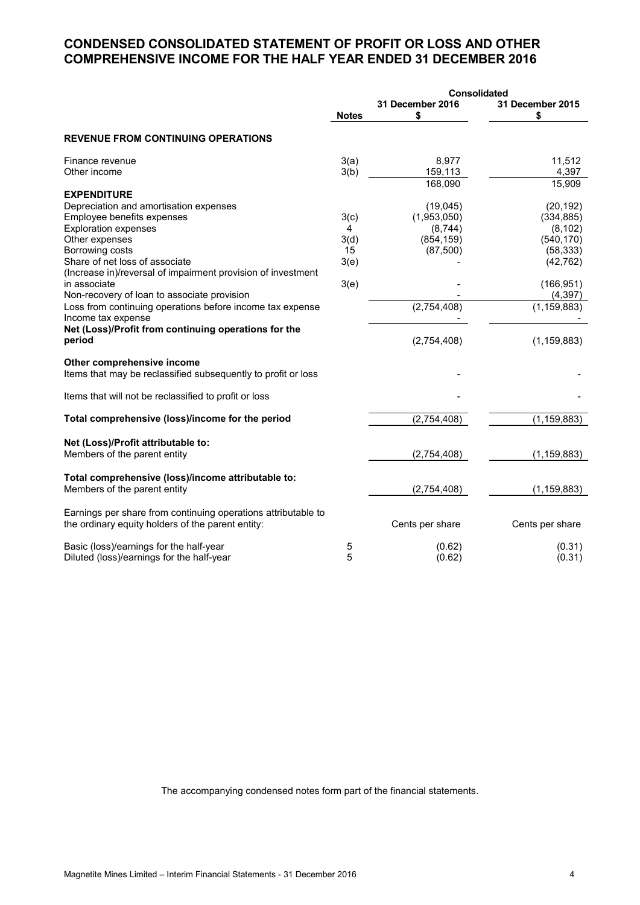## **CONDENSED CONSOLIDATED STATEMENT OF PROFIT OR LOSS AND OTHER COMPREHENSIVE INCOME FOR THE HALF YEAR ENDED 31 DECEMBER 2016**

|                                                                                             |              |                        | <b>Consolidated</b>    |
|---------------------------------------------------------------------------------------------|--------------|------------------------|------------------------|
|                                                                                             | <b>Notes</b> | 31 December 2016<br>\$ | 31 December 2015<br>\$ |
| <b>REVENUE FROM CONTINUING OPERATIONS</b>                                                   |              |                        |                        |
| Finance revenue                                                                             | 3(a)         | 8,977                  | 11,512                 |
| Other income                                                                                | 3(b)         | 159,113                | 4,397                  |
|                                                                                             |              | 168,090                | 15,909                 |
| <b>EXPENDITURE</b>                                                                          |              |                        |                        |
| Depreciation and amortisation expenses                                                      |              | (19,045)               | (20, 192)              |
| Employee benefits expenses                                                                  | 3(c)         | (1,953,050)            | (334, 885)             |
| <b>Exploration expenses</b>                                                                 | 4            | (8,744)                | (8, 102)               |
| Other expenses                                                                              | 3(d)         | (854, 159)             | (540, 170)             |
| Borrowing costs                                                                             | 15           | (87, 500)              | (58, 333)              |
| Share of net loss of associate                                                              | 3(e)         |                        | (42, 762)              |
| (Increase in)/reversal of impairment provision of investment                                |              |                        |                        |
| in associate                                                                                | 3(e)         |                        | (166, 951)             |
| Non-recovery of loan to associate provision                                                 |              |                        | (4, 397)               |
| Loss from continuing operations before income tax expense                                   |              | (2,754,408)            | (1, 159, 883)          |
| Income tax expense                                                                          |              |                        |                        |
| Net (Loss)/Profit from continuing operations for the                                        |              |                        |                        |
| period                                                                                      |              | (2,754,408)            | (1, 159, 883)          |
| Other comprehensive income<br>Items that may be reclassified subsequently to profit or loss |              |                        |                        |
|                                                                                             |              |                        |                        |
| Items that will not be reclassified to profit or loss                                       |              |                        |                        |
| Total comprehensive (loss)/income for the period                                            |              | (2,754,408)            | (1, 159, 883)          |
|                                                                                             |              |                        |                        |
| Net (Loss)/Profit attributable to:                                                          |              |                        |                        |
| Members of the parent entity                                                                |              | (2,754,408)            | (1, 159, 883)          |
| Total comprehensive (loss)/income attributable to:                                          |              |                        |                        |
| Members of the parent entity                                                                |              | (2,754,408)            | (1, 159, 883)          |
| Earnings per share from continuing operations attributable to                               |              |                        |                        |
| the ordinary equity holders of the parent entity:                                           |              | Cents per share        | Cents per share        |
| Basic (loss)/earnings for the half-year                                                     | 5            | (0.62)                 | (0.31)                 |
| Diluted (loss)/earnings for the half-year                                                   | 5            | (0.62)                 | (0.31)                 |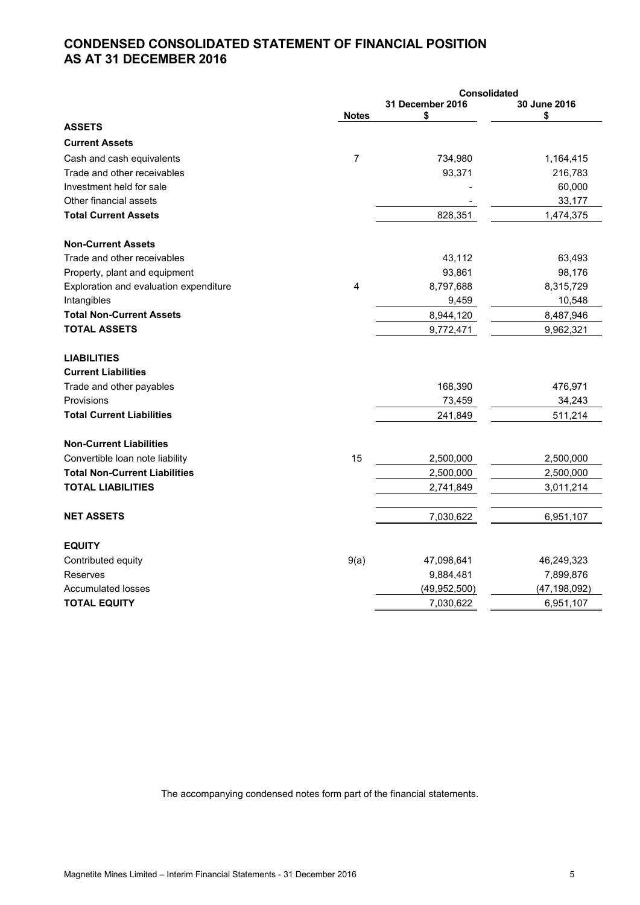## **CONDENSED CONSOLIDATED STATEMENT OF FINANCIAL POSITION AS AT 31 DECEMBER 2016**

|                                        | <b>Consolidated</b> |                        |                    |  |
|----------------------------------------|---------------------|------------------------|--------------------|--|
|                                        | <b>Notes</b>        | 31 December 2016<br>\$ | 30 June 2016<br>\$ |  |
| <b>ASSETS</b>                          |                     |                        |                    |  |
| <b>Current Assets</b>                  |                     |                        |                    |  |
| Cash and cash equivalents              | 7                   | 734,980                | 1,164,415          |  |
| Trade and other receivables            |                     | 93,371                 | 216,783            |  |
| Investment held for sale               |                     |                        | 60,000             |  |
| Other financial assets                 |                     |                        | 33,177             |  |
| <b>Total Current Assets</b>            |                     | 828,351                | 1,474,375          |  |
| <b>Non-Current Assets</b>              |                     |                        |                    |  |
| Trade and other receivables            |                     | 43,112                 | 63,493             |  |
| Property, plant and equipment          |                     | 93,861                 | 98,176             |  |
| Exploration and evaluation expenditure | 4                   | 8,797,688              | 8,315,729          |  |
| Intangibles                            |                     | 9,459                  | 10,548             |  |
| <b>Total Non-Current Assets</b>        |                     | 8,944,120              | 8,487,946          |  |
| <b>TOTAL ASSETS</b>                    |                     | 9,772,471              | 9,962,321          |  |
| <b>LIABILITIES</b>                     |                     |                        |                    |  |
| <b>Current Liabilities</b>             |                     |                        |                    |  |
| Trade and other payables               |                     | 168,390                | 476,971            |  |
| Provisions                             |                     | 73,459                 | 34,243             |  |
| <b>Total Current Liabilities</b>       |                     | 241,849                | 511,214            |  |
| <b>Non-Current Liabilities</b>         |                     |                        |                    |  |
| Convertible loan note liability        | 15                  | 2,500,000              | 2,500,000          |  |
| <b>Total Non-Current Liabilities</b>   |                     | 2,500,000              | 2,500,000          |  |
| <b>TOTAL LIABILITIES</b>               |                     | 2,741,849              | 3,011,214          |  |
| <b>NET ASSETS</b>                      |                     | 7,030,622              | 6,951,107          |  |
| <b>EQUITY</b>                          |                     |                        |                    |  |
| Contributed equity                     | 9(a)                | 47,098,641             | 46,249,323         |  |
| Reserves                               |                     | 9,884,481              | 7,899,876          |  |
| <b>Accumulated losses</b>              |                     | (49, 952, 500)         | (47, 198, 092)     |  |
| <b>TOTAL EQUITY</b>                    |                     | 7,030,622              | 6,951,107          |  |
|                                        |                     |                        |                    |  |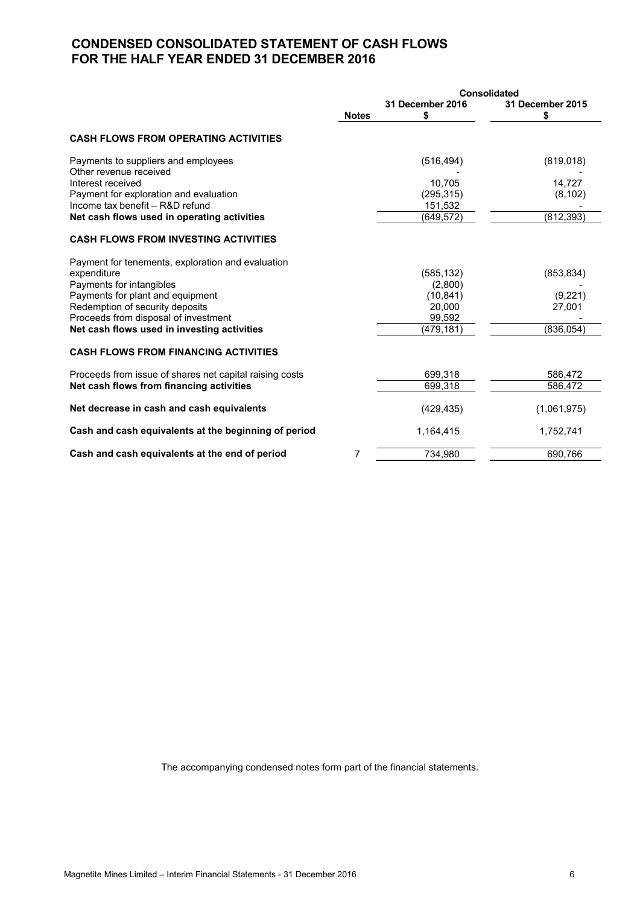## **CONDENSED CONSOLIDATED STATEMENT OF CASH FLOWS FOR THE HALF YEAR ENDED 31 DECEMBER 2016**

|                                                                         | <b>Consolidated</b> |                       |                       |  |
|-------------------------------------------------------------------------|---------------------|-----------------------|-----------------------|--|
|                                                                         | <b>Notes</b>        | 31 December 2016<br>S | 31 December 2015<br>S |  |
| <b>CASH FLOWS FROM OPERATING ACTIVITIES</b>                             |                     |                       |                       |  |
| Payments to suppliers and employees                                     |                     | (516, 494)            | (819, 018)            |  |
| Other revenue received<br>Interest received                             |                     |                       |                       |  |
| Payment for exploration and evaluation                                  |                     | 10,705                | 14,727                |  |
| Income tax benefit - R&D refund                                         |                     | (295, 315)<br>151,532 | (8, 102)              |  |
| Net cash flows used in operating activities                             |                     | (649, 572)            | (812, 393)            |  |
| <b>CASH FLOWS FROM INVESTING ACTIVITIES</b>                             |                     |                       |                       |  |
| Payment for tenements, exploration and evaluation                       |                     |                       |                       |  |
| expenditure                                                             |                     | (585, 132)            | (853, 834)            |  |
| Payments for intangibles                                                |                     | (2,800)               |                       |  |
| Payments for plant and equipment                                        |                     | (10, 841)             | (9,221)               |  |
| Redemption of security deposits<br>Proceeds from disposal of investment |                     | 20,000<br>99,592      | 27,001                |  |
| Net cash flows used in investing activities                             |                     | (479,181)             | (836, 054)            |  |
|                                                                         |                     |                       |                       |  |
| <b>CASH FLOWS FROM FINANCING ACTIVITIES</b>                             |                     |                       |                       |  |
| Proceeds from issue of shares net capital raising costs                 |                     | 699,318               | 586,472               |  |
| Net cash flows from financing activities                                |                     | 699,318               | 586,472               |  |
| Net decrease in cash and cash equivalents                               |                     | (429, 435)            | (1,061,975)           |  |
| Cash and cash equivalents at the beginning of period                    |                     | 1,164,415             | 1,752,741             |  |
| Cash and cash equivalents at the end of period                          | 7                   | 734.980               | 690,766               |  |
|                                                                         |                     |                       |                       |  |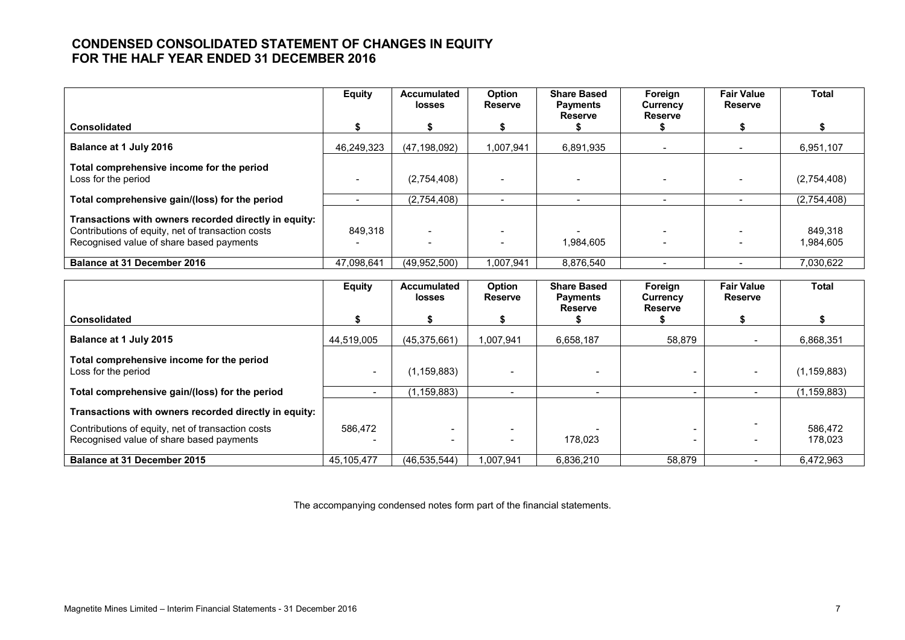## **CONDENSED CONSOLIDATED STATEMENT OF CHANGES IN EQUITY FOR THE HALF YEAR ENDED 31 DECEMBER 2016**

|                                                                                                                                                        | <b>Equity</b> | <b>Accumulated</b><br><b>losses</b> | Option<br><b>Reserve</b> | <b>Share Based</b><br><b>Payments</b> | Foreign<br>Currency | <b>Fair Value</b><br><b>Reserve</b> | <b>Total</b>         |
|--------------------------------------------------------------------------------------------------------------------------------------------------------|---------------|-------------------------------------|--------------------------|---------------------------------------|---------------------|-------------------------------------|----------------------|
| <b>Consolidated</b>                                                                                                                                    |               |                                     |                          | <b>Reserve</b>                        | <b>Reserve</b>      |                                     |                      |
| Balance at 1 July 2016                                                                                                                                 | 46,249,323    | (47, 198, 092)                      | 1.007.941                | 6,891,935                             |                     |                                     | 6,951,107            |
| Total comprehensive income for the period<br>Loss for the period                                                                                       |               | (2,754,408)                         |                          |                                       |                     |                                     | (2,754,408)          |
| Total comprehensive gain/(loss) for the period                                                                                                         |               | (2,754,408)                         |                          |                                       |                     |                                     | (2,754,408)          |
| Transactions with owners recorded directly in equity:<br>Contributions of equity, net of transaction costs<br>Recognised value of share based payments | 849.318       |                                     |                          | 1.984.605                             |                     |                                     | 849.318<br>1,984,605 |
| <b>Balance at 31 December 2016</b>                                                                                                                     | 47.098.641    | (49.952.500)                        | 1.007.941                | 8,876,540                             |                     |                                     | 7,030,622            |

|                                                                                               | <b>Equity</b> | <b>Accumulated</b><br><b>losses</b> | Option<br><b>Reserve</b> | <b>Share Based</b><br><b>Payments</b> | Foreign<br>Currency | <b>Fair Value</b><br><b>Reserve</b> | Total              |
|-----------------------------------------------------------------------------------------------|---------------|-------------------------------------|--------------------------|---------------------------------------|---------------------|-------------------------------------|--------------------|
| <b>Consolidated</b>                                                                           |               |                                     |                          | <b>Reserve</b>                        | <b>Reserve</b>      |                                     |                    |
| Balance at 1 July 2015                                                                        | 44,519,005    | (45,375,661)                        | 1.007.941                | 6,658,187                             | 58,879              |                                     | 6,868,351          |
| Total comprehensive income for the period<br>Loss for the period                              |               | (1,159,883)                         |                          |                                       |                     |                                     | (1, 159, 883)      |
| Total comprehensive gain/(loss) for the period                                                |               | 1,159,883)                          |                          | $\overline{\phantom{0}}$              |                     | $\overline{\phantom{a}}$            | (1, 159, 883)      |
| Transactions with owners recorded directly in equity:                                         |               |                                     |                          |                                       |                     |                                     |                    |
| Contributions of equity, net of transaction costs<br>Recognised value of share based payments | 586,472       |                                     |                          | 178.023                               |                     |                                     | 586,472<br>178.023 |
| Balance at 31 December 2015                                                                   | 45.105.477    | (46, 535, 544)                      | 1.007.941                | 6,836,210                             | 58,879              | $\overline{\phantom{0}}$            | 6.472.963          |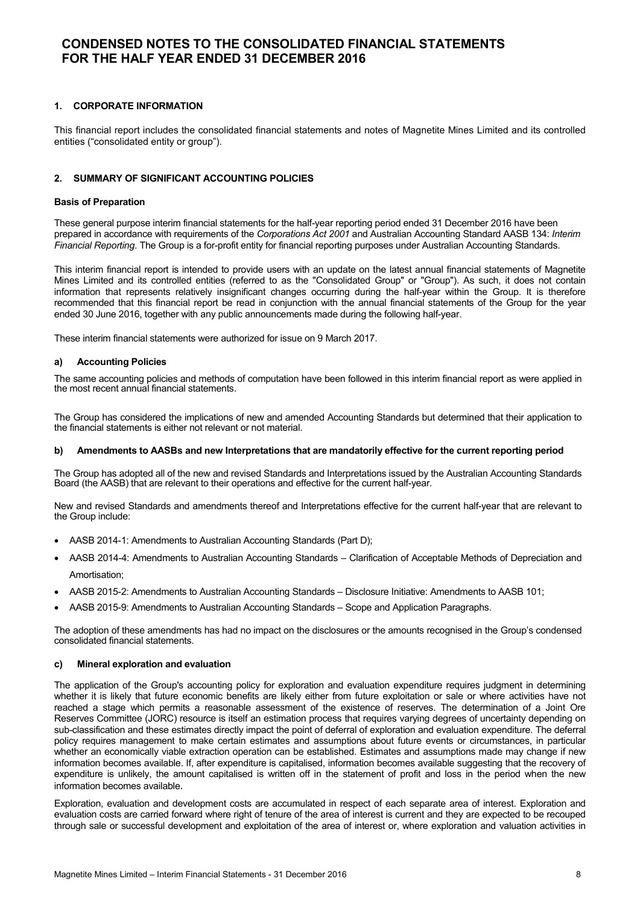### **1. CORPORATE INFORMATION**

This financial report includes the consolidated financial statements and notes of Magnetite Mines Limited and its controlled entities ("consolidated entity or group").

### **2. SUMMARY OF SIGNIFICANT ACCOUNTING POLICIES**

#### **Basis of Preparation**

These general purpose interim financial statements for the half-year reporting period ended 31 December 2016 have been prepared in accordance with requirements of the *Corporations Act 2001* and Australian Accounting Standard AASB 134: *Interim Financial Reporting*. The Group is a for-profit entity for financial reporting purposes under Australian Accounting Standards.

This interim financial report is intended to provide users with an update on the latest annual financial statements of Magnetite Mines Limited and its controlled entities (referred to as the "Consolidated Group" or "Group"). As such, it does not contain information that represents relatively insignificant changes occurring during the half-year within the Group. It is therefore recommended that this financial report be read in conjunction with the annual financial statements of the Group for the year ended 30 June 2016, together with any public announcements made during the following half-year.

These interim financial statements were authorized for issue on 9 March 2017.

#### **a) Accounting Policies**

The same accounting policies and methods of computation have been followed in this interim financial report as were applied in the most recent annual financial statements.

The Group has considered the implications of new and amended Accounting Standards but determined that their application to the financial statements is either not relevant or not material.

#### **b) Amendments to AASBs and new Interpretations that are mandatorily effective for the current reporting period**

The Group has adopted all of the new and revised Standards and Interpretations issued by the Australian Accounting Standards Board (the AASB) that are relevant to their operations and effective for the current half-year.

New and revised Standards and amendments thereof and Interpretations effective for the current half-year that are relevant to the Group include:

- AASB 2014-1: Amendments to Australian Accounting Standards (Part D);
- AASB 2014-4: Amendments to Australian Accounting Standards Clarification of Acceptable Methods of Depreciation and Amortisation;
- AASB 2015-2: Amendments to Australian Accounting Standards Disclosure Initiative: Amendments to AASB 101;
- AASB 2015-9: Amendments to Australian Accounting Standards Scope and Application Paragraphs.

The adoption of these amendments has had no impact on the disclosures or the amounts recognised in the Group's condensed consolidated financial statements.

#### **c) Mineral exploration and evaluation**

The application of the Group's accounting policy for exploration and evaluation expenditure requires judgment in determining whether it is likely that future economic benefits are likely either from future exploitation or sale or where activities have not reached a stage which permits a reasonable assessment of the existence of reserves. The determination of a Joint Ore Reserves Committee (JORC) resource is itself an estimation process that requires varying degrees of uncertainty depending on sub-classification and these estimates directly impact the point of deferral of exploration and evaluation expenditure. The deferral policy requires management to make certain estimates and assumptions about future events or circumstances, in particular whether an economically viable extraction operation can be established. Estimates and assumptions made may change if new information becomes available. If, after expenditure is capitalised, information becomes available suggesting that the recovery of expenditure is unlikely, the amount capitalised is written off in the statement of profit and loss in the period when the new information becomes available.

Exploration, evaluation and development costs are accumulated in respect of each separate area of interest. Exploration and evaluation costs are carried forward where right of tenure of the area of interest is current and they are expected to be recouped through sale or successful development and exploitation of the area of interest or, where exploration and valuation activities in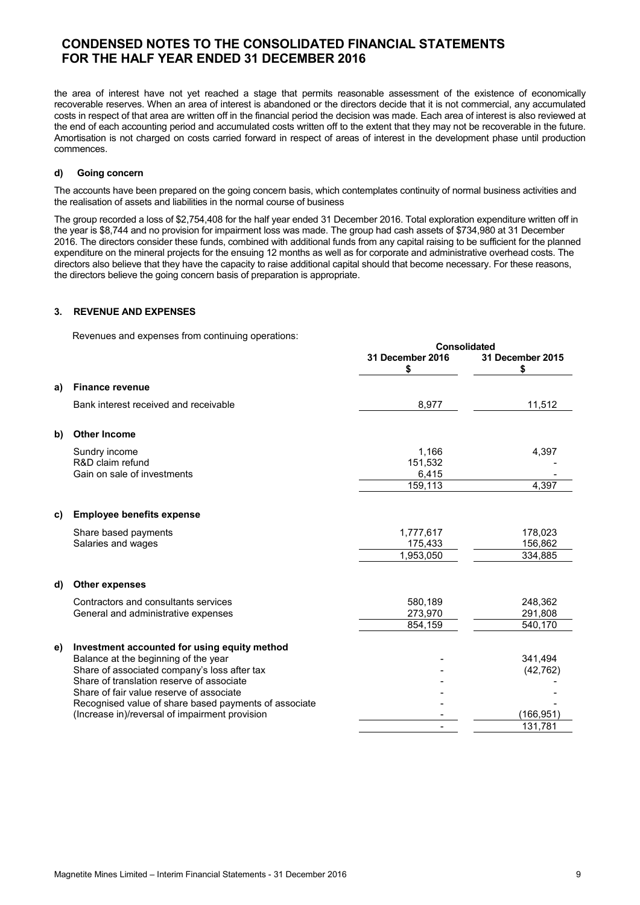the area of interest have not yet reached a stage that permits reasonable assessment of the existence of economically recoverable reserves. When an area of interest is abandoned or the directors decide that it is not commercial, any accumulated costs in respect of that area are written off in the financial period the decision was made. Each area of interest is also reviewed at the end of each accounting period and accumulated costs written off to the extent that they may not be recoverable in the future. Amortisation is not charged on costs carried forward in respect of areas of interest in the development phase until production commences.

### **d) Going concern**

The accounts have been prepared on the going concern basis, which contemplates continuity of normal business activities and the realisation of assets and liabilities in the normal course of business

The group recorded a loss of \$2,754,408 for the half year ended 31 December 2016. Total exploration expenditure written off in the year is \$8,744 and no provision for impairment loss was made. The group had cash assets of \$734,980 at 31 December 2016. The directors consider these funds, combined with additional funds from any capital raising to be sufficient for the planned expenditure on the mineral projects for the ensuing 12 months as well as for corporate and administrative overhead costs. The directors also believe that they have the capacity to raise additional capital should that become necessary. For these reasons, the directors believe the going concern basis of preparation is appropriate.

**Consolidated**

## **3. REVENUE AND EXPENSES**

Revenues and expenses from continuing operations:

|    |                                                                                                                                                                                                                                                                                                                                          | 31 December 2016<br>\$               | unsunualcu<br>31 December 2015<br>\$         |
|----|------------------------------------------------------------------------------------------------------------------------------------------------------------------------------------------------------------------------------------------------------------------------------------------------------------------------------------------|--------------------------------------|----------------------------------------------|
| a) | <b>Finance revenue</b>                                                                                                                                                                                                                                                                                                                   |                                      |                                              |
|    | Bank interest received and receivable                                                                                                                                                                                                                                                                                                    | 8,977                                | 11,512                                       |
| b) | <b>Other Income</b>                                                                                                                                                                                                                                                                                                                      |                                      |                                              |
|    | Sundry income<br>R&D claim refund<br>Gain on sale of investments                                                                                                                                                                                                                                                                         | 1,166<br>151,532<br>6,415<br>159,113 | 4,397<br>4,397                               |
| C) | <b>Employee benefits expense</b>                                                                                                                                                                                                                                                                                                         |                                      |                                              |
|    | Share based payments<br>Salaries and wages                                                                                                                                                                                                                                                                                               | 1,777,617<br>175,433<br>1,953,050    | 178,023<br>156,862<br>334,885                |
| d) | <b>Other expenses</b>                                                                                                                                                                                                                                                                                                                    |                                      |                                              |
|    | Contractors and consultants services<br>General and administrative expenses                                                                                                                                                                                                                                                              | 580.189<br>273,970<br>854,159        | 248,362<br>291,808<br>540,170                |
| e) | Investment accounted for using equity method<br>Balance at the beginning of the year<br>Share of associated company's loss after tax<br>Share of translation reserve of associate<br>Share of fair value reserve of associate<br>Recognised value of share based payments of associate<br>(Increase in)/reversal of impairment provision |                                      | 341,494<br>(42, 762)<br>(166,951)<br>131,781 |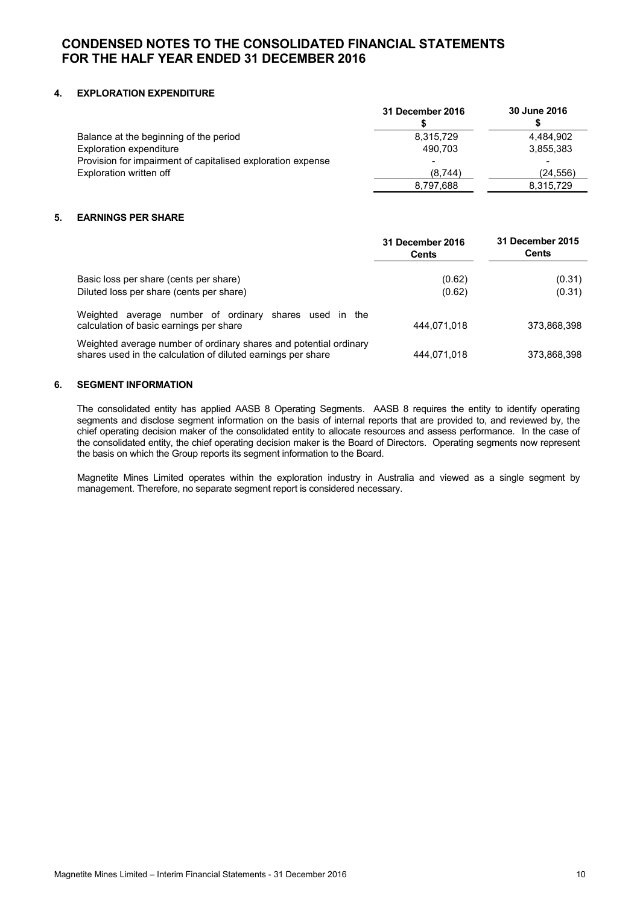## **4. EXPLORATION EXPENDITURE**

|                                                             | 31 December 2016 | 30 June 2016 |
|-------------------------------------------------------------|------------------|--------------|
| Balance at the beginning of the period                      | 8,315,729        | 4.484.902    |
| Exploration expenditure                                     | 490.703          | 3,855,383    |
| Provision for impairment of capitalised exploration expense |                  | -            |
| Exploration written off                                     | (8,744)          | (24.556)     |
|                                                             | 8,797,688        | 8,315,729    |

## **5. EARNINGS PER SHARE**

|                                                                                                                                   | 31 December 2016<br><b>Cents</b> | 31 December 2015<br>Cents |
|-----------------------------------------------------------------------------------------------------------------------------------|----------------------------------|---------------------------|
| Basic loss per share (cents per share)<br>Diluted loss per share (cents per share)                                                | (0.62)<br>(0.62)                 | (0.31)<br>(0.31)          |
| average number of ordinary shares used in<br>Weighted<br>the<br>calculation of basic earnings per share                           | 444.071.018                      | 373,868,398               |
| Weighted average number of ordinary shares and potential ordinary<br>shares used in the calculation of diluted earnings per share | 444.071.018                      | 373,868,398               |

## **6. SEGMENT INFORMATION**

The consolidated entity has applied AASB 8 Operating Segments. AASB 8 requires the entity to identify operating segments and disclose segment information on the basis of internal reports that are provided to, and reviewed by, the chief operating decision maker of the consolidated entity to allocate resources and assess performance. In the case of the consolidated entity, the chief operating decision maker is the Board of Directors. Operating segments now represent the basis on which the Group reports its segment information to the Board.

Magnetite Mines Limited operates within the exploration industry in Australia and viewed as a single segment by management. Therefore, no separate segment report is considered necessary.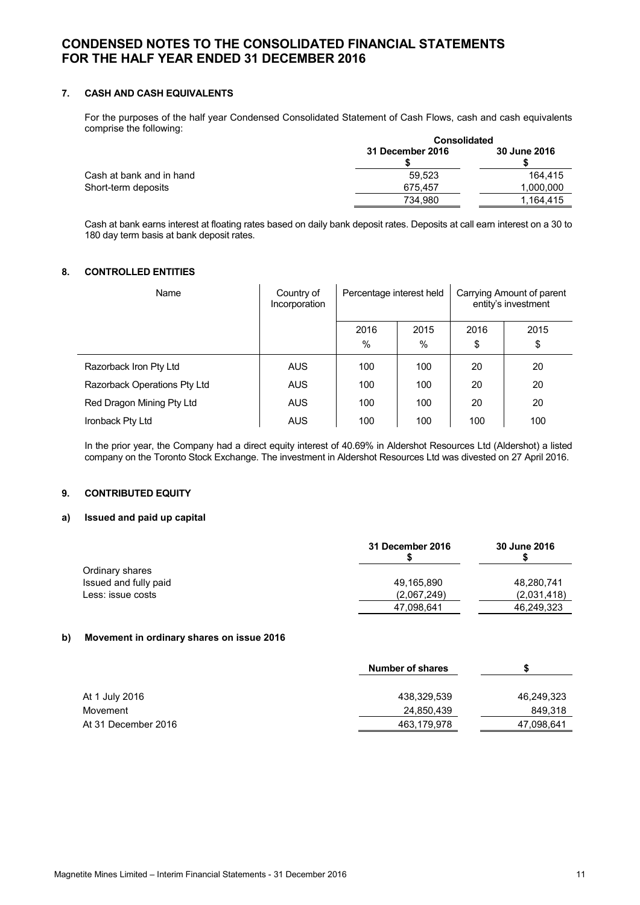## **7. CASH AND CASH EQUIVALENTS**

For the purposes of the half year Condensed Consolidated Statement of Cash Flows, cash and cash equivalents comprise the following:

|                          | <b>Consolidated</b> |              |  |
|--------------------------|---------------------|--------------|--|
|                          | 31 December 2016    | 30 June 2016 |  |
| Cash at bank and in hand | 59.523              | 164.415      |  |
| Short-term deposits      | 675.457             | 1,000,000    |  |
|                          | 734.980             | 1.164.415    |  |

Cash at bank earns interest at floating rates based on daily bank deposit rates. Deposits at call earn interest on a 30 to 180 day term basis at bank deposit rates.

## **8. CONTROLLED ENTITIES**

| Name                         | Country of<br>Incorporation | Percentage interest held |           | Carrying Amount of parent<br>entity's investment |            |
|------------------------------|-----------------------------|--------------------------|-----------|--------------------------------------------------|------------|
|                              |                             | 2016<br>$\%$             | 2015<br>% | 2016<br>\$                                       | 2015<br>\$ |
|                              |                             |                          |           |                                                  |            |
| Razorback Iron Pty Ltd       | <b>AUS</b>                  | 100                      | 100       | 20                                               | 20         |
| Razorback Operations Pty Ltd | <b>AUS</b>                  | 100                      | 100       | 20                                               | 20         |
| Red Dragon Mining Pty Ltd    | AUS                         | 100                      | 100       | 20                                               | 20         |
| Ironback Pty Ltd             | <b>AUS</b>                  | 100                      | 100       | 100                                              | 100        |

In the prior year, the Company had a direct equity interest of 40.69% in Aldershot Resources Ltd (Aldershot) a listed company on the Toronto Stock Exchange. The investment in Aldershot Resources Ltd was divested on 27 April 2016.

## **9. CONTRIBUTED EQUITY**

#### **a) Issued and paid up capital**

|                       | 31 December 2016 | 30 June 2016 |
|-----------------------|------------------|--------------|
| Ordinary shares       |                  |              |
| Issued and fully paid | 49,165,890       | 48,280,741   |
| Less: issue costs     | (2,067,249)      | (2,031,418)  |
|                       | 47,098,641       | 46,249,323   |

### **b) Movement in ordinary shares on issue 2016**

| <b>Number of shares</b> |            |
|-------------------------|------------|
|                         |            |
| 438.329.539             | 46,249,323 |
| 24,850,439              | 849,318    |
| 463,179,978             | 47,098,641 |
|                         |            |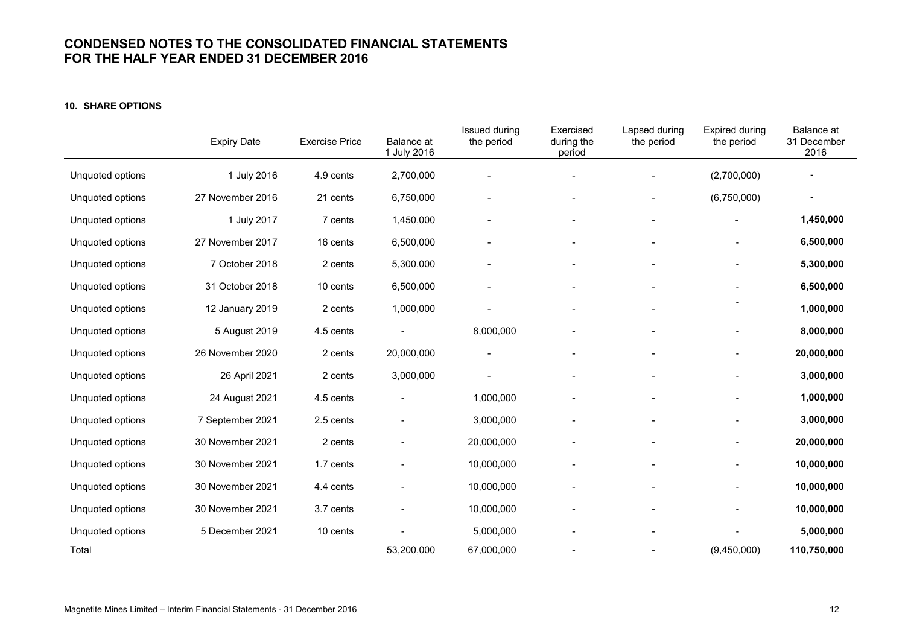## **10. SHARE OPTIONS**

|                  | <b>Expiry Date</b> | <b>Exercise Price</b> | Balance at<br>1 July 2016 | Issued during<br>the period | Exercised<br>during the<br>period | Lapsed during<br>the period | Expired during<br>the period | Balance at<br>31 December<br>2016 |
|------------------|--------------------|-----------------------|---------------------------|-----------------------------|-----------------------------------|-----------------------------|------------------------------|-----------------------------------|
| Unquoted options | 1 July 2016        | 4.9 cents             | 2,700,000                 |                             |                                   |                             | (2,700,000)                  | ۰                                 |
| Unquoted options | 27 November 2016   | 21 cents              | 6,750,000                 |                             |                                   |                             | (6,750,000)                  | ٠                                 |
| Unquoted options | 1 July 2017        | 7 cents               | 1,450,000                 |                             |                                   |                             | $\blacksquare$               | 1,450,000                         |
| Unquoted options | 27 November 2017   | 16 cents              | 6,500,000                 |                             |                                   |                             |                              | 6,500,000                         |
| Unquoted options | 7 October 2018     | 2 cents               | 5,300,000                 |                             |                                   |                             |                              | 5,300,000                         |
| Unquoted options | 31 October 2018    | 10 cents              | 6,500,000                 |                             |                                   |                             |                              | 6,500,000                         |
| Unquoted options | 12 January 2019    | 2 cents               | 1,000,000                 |                             |                                   |                             |                              | 1,000,000                         |
| Unquoted options | 5 August 2019      | 4.5 cents             |                           | 8,000,000                   |                                   |                             |                              | 8,000,000                         |
| Unquoted options | 26 November 2020   | 2 cents               | 20,000,000                |                             |                                   |                             | ۰                            | 20,000,000                        |
| Unquoted options | 26 April 2021      | 2 cents               | 3,000,000                 |                             |                                   |                             | $\overline{a}$               | 3,000,000                         |
| Unquoted options | 24 August 2021     | 4.5 cents             |                           | 1,000,000                   |                                   |                             | $\overline{a}$               | 1,000,000                         |
| Unquoted options | 7 September 2021   | 2.5 cents             |                           | 3,000,000                   |                                   |                             |                              | 3,000,000                         |
| Unquoted options | 30 November 2021   | 2 cents               |                           | 20,000,000                  |                                   |                             |                              | 20,000,000                        |
| Unquoted options | 30 November 2021   | 1.7 cents             |                           | 10,000,000                  |                                   |                             |                              | 10,000,000                        |
| Unquoted options | 30 November 2021   | 4.4 cents             |                           | 10,000,000                  |                                   |                             |                              | 10,000,000                        |
| Unquoted options | 30 November 2021   | 3.7 cents             |                           | 10,000,000                  |                                   | $\qquad \qquad -$           | ÷                            | 10,000,000                        |
| Unquoted options | 5 December 2021    | 10 cents              |                           | 5,000,000                   | $\overline{\phantom{a}}$          | $\blacksquare$              |                              | 5,000,000                         |
| Total            |                    |                       | 53,200,000                | 67,000,000                  | $\overline{\phantom{a}}$          |                             | (9,450,000)                  | 110,750,000                       |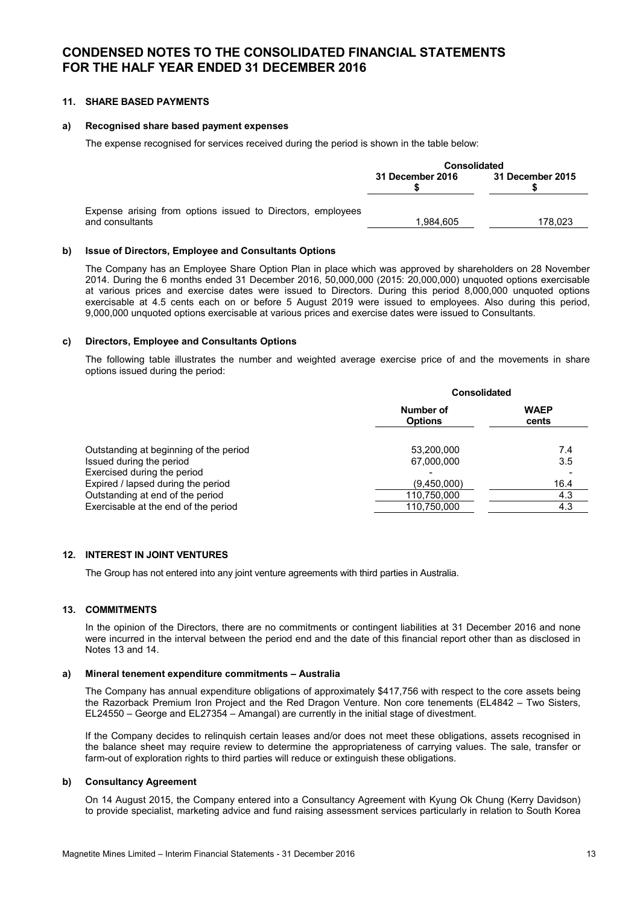## **11. SHARE BASED PAYMENTS**

### **a) Recognised share based payment expenses**

The expense recognised for services received during the period is shown in the table below:

|                                                                                | <b>Consolidated</b> |                  |  |
|--------------------------------------------------------------------------------|---------------------|------------------|--|
|                                                                                | 31 December 2016    | 31 December 2015 |  |
| Expense arising from options issued to Directors, employees<br>and consultants | 1.984.605           | 178.023          |  |

#### **b) Issue of Directors, Employee and Consultants Options**

The Company has an Employee Share Option Plan in place which was approved by shareholders on 28 November 2014. During the 6 months ended 31 December 2016, 50,000,000 (2015: 20,000,000) unquoted options exercisable at various prices and exercise dates were issued to Directors. During this period 8,000,000 unquoted options exercisable at 4.5 cents each on or before 5 August 2019 were issued to employees. Also during this period, 9,000,000 unquoted options exercisable at various prices and exercise dates were issued to Consultants.

#### **c) Directors, Employee and Consultants Options**

The following table illustrates the number and weighted average exercise price of and the movements in share options issued during the period:

|                                                         |                             | Consolidated         |  |  |
|---------------------------------------------------------|-----------------------------|----------------------|--|--|
|                                                         | Number of<br><b>Options</b> | <b>WAEP</b><br>cents |  |  |
| Outstanding at beginning of the period                  | 53,200,000                  | 7.4                  |  |  |
| Issued during the period<br>Exercised during the period | 67,000,000                  | 3.5                  |  |  |
| Expired / lapsed during the period                      | (9,450,000)                 | 16.4                 |  |  |
| Outstanding at end of the period                        | 110,750,000                 | 4.3                  |  |  |
| Exercisable at the end of the period                    | 110,750,000                 | 4.3                  |  |  |

## **12. INTEREST IN JOINT VENTURES**

The Group has not entered into any joint venture agreements with third parties in Australia.

## **13. COMMITMENTS**

In the opinion of the Directors, there are no commitments or contingent liabilities at 31 December 2016 and none were incurred in the interval between the period end and the date of this financial report other than as disclosed in Notes 13 and 14.

#### **a) Mineral tenement expenditure commitments – Australia**

The Company has annual expenditure obligations of approximately \$417,756 with respect to the core assets being the Razorback Premium Iron Project and the Red Dragon Venture. Non core tenements (EL4842 – Two Sisters, EL24550 – George and EL27354 – Amangal) are currently in the initial stage of divestment.

If the Company decides to relinquish certain leases and/or does not meet these obligations, assets recognised in the balance sheet may require review to determine the appropriateness of carrying values. The sale, transfer or farm-out of exploration rights to third parties will reduce or extinguish these obligations.

### **b) Consultancy Agreement**

On 14 August 2015, the Company entered into a Consultancy Agreement with Kyung Ok Chung (Kerry Davidson) to provide specialist, marketing advice and fund raising assessment services particularly in relation to South Korea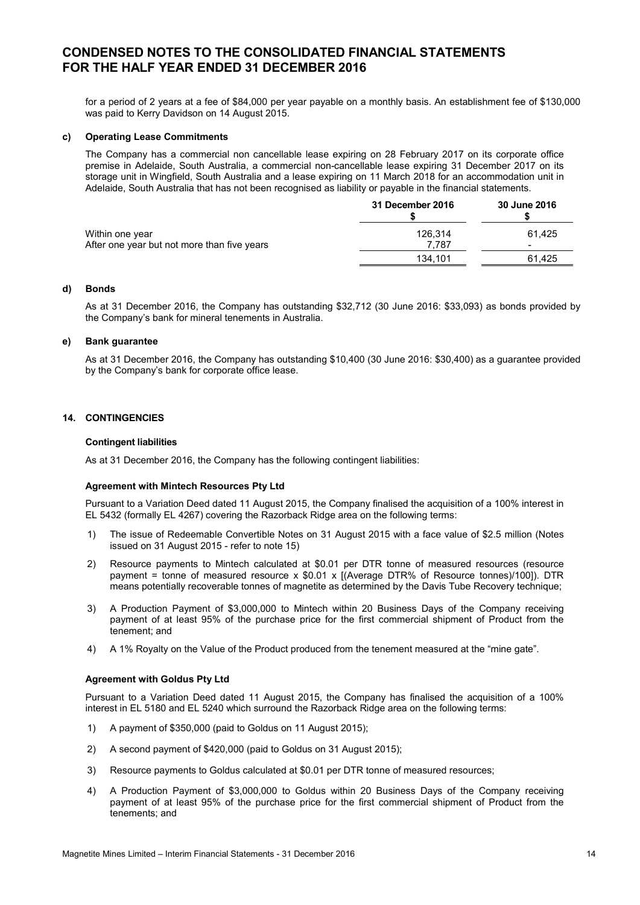for a period of 2 years at a fee of \$84,000 per year payable on a monthly basis. An establishment fee of \$130,000 was paid to Kerry Davidson on 14 August 2015.

### **c) Operating Lease Commitments**

The Company has a commercial non cancellable lease expiring on 28 February 2017 on its corporate office premise in Adelaide, South Australia, a commercial non-cancellable lease expiring 31 December 2017 on its storage unit in Wingfield, South Australia and a lease expiring on 11 March 2018 for an accommodation unit in Adelaide, South Australia that has not been recognised as liability or payable in the financial statements.

|                                             | 31 December 2016 | 30 June 2016             |
|---------------------------------------------|------------------|--------------------------|
| Within one year                             | 126.314          | 61.425                   |
| After one year but not more than five years | 7.787            | $\overline{\phantom{a}}$ |
|                                             | 134.101          | 61.425                   |

#### **d) Bonds**

As at 31 December 2016, the Company has outstanding \$32,712 (30 June 2016: \$33,093) as bonds provided by the Company's bank for mineral tenements in Australia.

#### **e) Bank guarantee**

As at 31 December 2016, the Company has outstanding \$10,400 (30 June 2016: \$30,400) as a guarantee provided by the Company's bank for corporate office lease.

## **14. CONTINGENCIES**

#### **Contingent liabilities**

As at 31 December 2016, the Company has the following contingent liabilities:

#### **Agreement with Mintech Resources Pty Ltd**

Pursuant to a Variation Deed dated 11 August 2015, the Company finalised the acquisition of a 100% interest in EL 5432 (formally EL 4267) covering the Razorback Ridge area on the following terms:

- 1) The issue of Redeemable Convertible Notes on 31 August 2015 with a face value of \$2.5 million (Notes issued on 31 August 2015 - refer to note 15)
- 2) Resource payments to Mintech calculated at \$0.01 per DTR tonne of measured resources (resource payment = tonne of measured resource x \$0.01 x [(Average DTR% of Resource tonnes)/100]). DTR means potentially recoverable tonnes of magnetite as determined by the Davis Tube Recovery technique;
- 3) A Production Payment of \$3,000,000 to Mintech within 20 Business Days of the Company receiving payment of at least 95% of the purchase price for the first commercial shipment of Product from the tenement; and
- 4) A 1% Royalty on the Value of the Product produced from the tenement measured at the "mine gate".

#### **Agreement with Goldus Pty Ltd**

Pursuant to a Variation Deed dated 11 August 2015, the Company has finalised the acquisition of a 100% interest in EL 5180 and EL 5240 which surround the Razorback Ridge area on the following terms:

- 1) A payment of \$350,000 (paid to Goldus on 11 August 2015);
- 2) A second payment of \$420,000 (paid to Goldus on 31 August 2015);
- 3) Resource payments to Goldus calculated at \$0.01 per DTR tonne of measured resources;
- 4) A Production Payment of \$3,000,000 to Goldus within 20 Business Days of the Company receiving payment of at least 95% of the purchase price for the first commercial shipment of Product from the tenements; and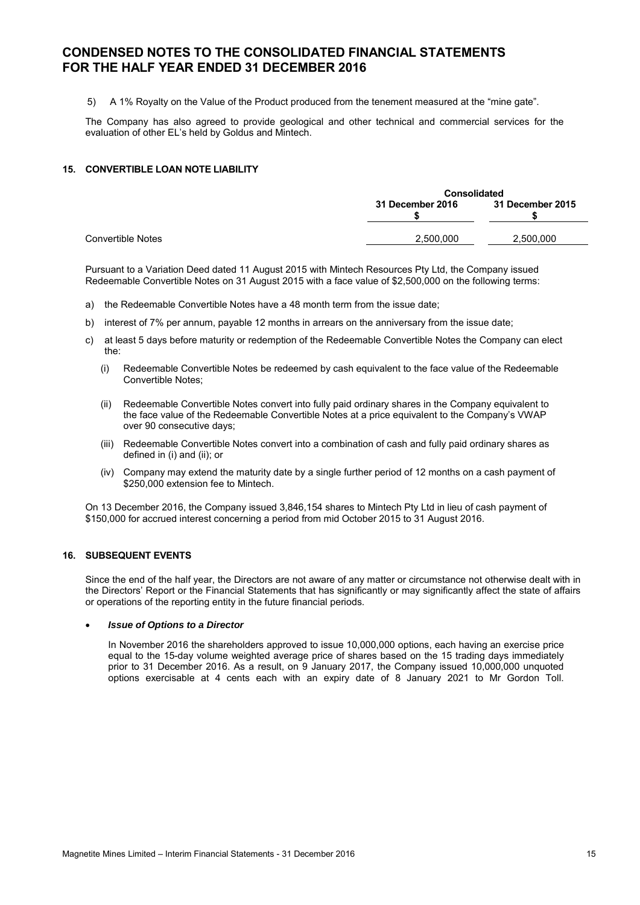5) A 1% Royalty on the Value of the Product produced from the tenement measured at the "mine gate".

The Company has also agreed to provide geological and other technical and commercial services for the evaluation of other EL's held by Goldus and Mintech.

### **15. CONVERTIBLE LOAN NOTE LIABILITY**

|                   | <b>Consolidated</b> |                  |  |
|-------------------|---------------------|------------------|--|
|                   | 31 December 2016    | 31 December 2015 |  |
| Convertible Notes | 2,500,000           | 2.500.000        |  |

Pursuant to a Variation Deed dated 11 August 2015 with Mintech Resources Pty Ltd, the Company issued Redeemable Convertible Notes on 31 August 2015 with a face value of \$2,500,000 on the following terms:

- a) the Redeemable Convertible Notes have a 48 month term from the issue date;
- b) interest of 7% per annum, payable 12 months in arrears on the anniversary from the issue date;
- c) at least 5 days before maturity or redemption of the Redeemable Convertible Notes the Company can elect the:
	- (i) Redeemable Convertible Notes be redeemed by cash equivalent to the face value of the Redeemable Convertible Notes;
	- (ii) Redeemable Convertible Notes convert into fully paid ordinary shares in the Company equivalent to the face value of the Redeemable Convertible Notes at a price equivalent to the Company's VWAP over 90 consecutive days;
	- (iii) Redeemable Convertible Notes convert into a combination of cash and fully paid ordinary shares as defined in (i) and (ii); or
	- (iv) Company may extend the maturity date by a single further period of 12 months on a cash payment of \$250,000 extension fee to Mintech.

On 13 December 2016, the Company issued 3,846,154 shares to Mintech Pty Ltd in lieu of cash payment of \$150,000 for accrued interest concerning a period from mid October 2015 to 31 August 2016.

### **16. SUBSEQUENT EVENTS**

Since the end of the half year, the Directors are not aware of any matter or circumstance not otherwise dealt with in the Directors' Report or the Financial Statements that has significantly or may significantly affect the state of affairs or operations of the reporting entity in the future financial periods.

#### • *Issue of Options to a Director*

In November 2016 the shareholders approved to issue 10,000,000 options, each having an exercise price equal to the 15-day volume weighted average price of shares based on the 15 trading days immediately prior to 31 December 2016. As a result, on 9 January 2017, the Company issued 10,000,000 unquoted options exercisable at 4 cents each with an expiry date of 8 January 2021 to Mr Gordon Toll.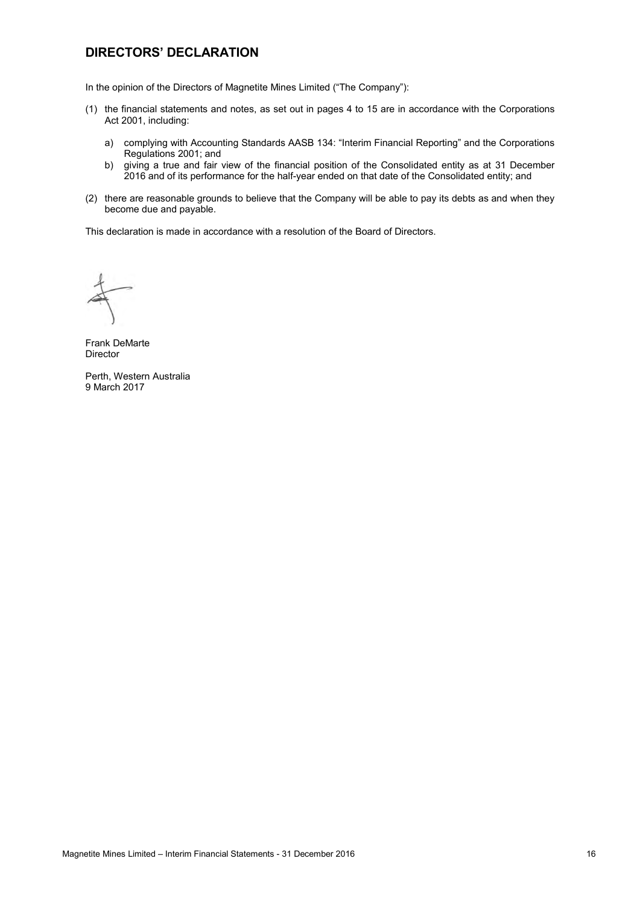## **DIRECTORS' DECLARATION**

In the opinion of the Directors of Magnetite Mines Limited ("The Company"):

- (1) the financial statements and notes, as set out in pages 4 to 15 are in accordance with the Corporations Act 2001, including:
	- a) complying with Accounting Standards AASB 134: "Interim Financial Reporting" and the Corporations Regulations 2001; and
	- b) giving a true and fair view of the financial position of the Consolidated entity as at 31 December 2016 and of its performance for the half-year ended on that date of the Consolidated entity; and
- (2) there are reasonable grounds to believe that the Company will be able to pay its debts as and when they become due and payable.

This declaration is made in accordance with a resolution of the Board of Directors.

Frank DeMarte Director

Perth, Western Australia 9 March 2017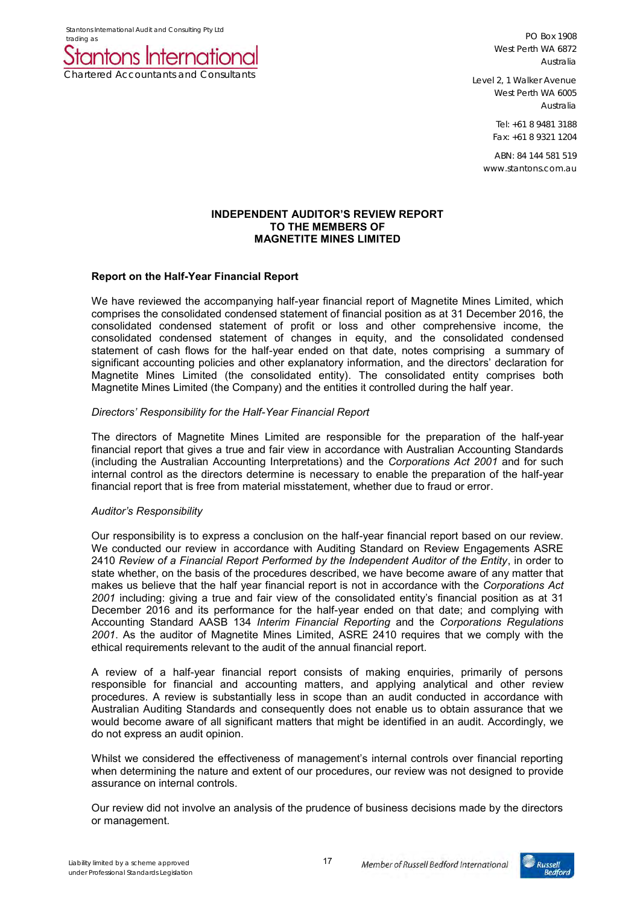Stantons International Audit and Consulting Pty Ltd



PO Box 1908 West Perth WA 6872 Australia

Level 2, 1 Walker Avenue West Perth WA 6005 Australia

> Tel: +61 8 9481 3188 Fax: +61 8 9321 1204

ABN: 84 144 581 519 www.stantons.com.au

## **INDEPENDENT AUDITOR'S REVIEW REPORT TO THE MEMBERS OF MAGNETITE MINES LIMITED**

## **Report on the Half-Year Financial Report**

We have reviewed the accompanying half-year financial report of Magnetite Mines Limited, which comprises the consolidated condensed statement of financial position as at 31 December 2016, the consolidated condensed statement of profit or loss and other comprehensive income, the consolidated condensed statement of changes in equity, and the consolidated condensed statement of cash flows for the half-year ended on that date, notes comprising a summary of significant accounting policies and other explanatory information, and the directors' declaration for Magnetite Mines Limited (the consolidated entity). The consolidated entity comprises both Magnetite Mines Limited (the Company) and the entities it controlled during the half year.

## *Directors' Responsibility for the Half-Year Financial Report*

The directors of Magnetite Mines Limited are responsible for the preparation of the half-year financial report that gives a true and fair view in accordance with Australian Accounting Standards (including the Australian Accounting Interpretations) and the *Corporations Act 2001* and for such internal control as the directors determine is necessary to enable the preparation of the half-year financial report that is free from material misstatement, whether due to fraud or error.

## *Auditor's Responsibility*

Our responsibility is to express a conclusion on the half-year financial report based on our review. We conducted our review in accordance with Auditing Standard on Review Engagements ASRE 2410 *Review of a Financial Report Performed by the Independent Auditor of the Entity*, in order to state whether, on the basis of the procedures described, we have become aware of any matter that makes us believe that the half year financial report is not in accordance with the *Corporations Act 2001* including: giving a true and fair view of the consolidated entity's financial position as at 31 December 2016 and its performance for the half-year ended on that date; and complying with Accounting Standard AASB 134 *Interim Financial Reporting* and the *Corporations Regulations 2001*. As the auditor of Magnetite Mines Limited, ASRE 2410 requires that we comply with the ethical requirements relevant to the audit of the annual financial report.

A review of a half-year financial report consists of making enquiries, primarily of persons responsible for financial and accounting matters, and applying analytical and other review procedures. A review is substantially less in scope than an audit conducted in accordance with Australian Auditing Standards and consequently does not enable us to obtain assurance that we would become aware of all significant matters that might be identified in an audit. Accordingly, we do not express an audit opinion.

Whilst we considered the effectiveness of management's internal controls over financial reporting when determining the nature and extent of our procedures, our review was not designed to provide assurance on internal controls.

Our review did not involve an analysis of the prudence of business decisions made by the directors or management.